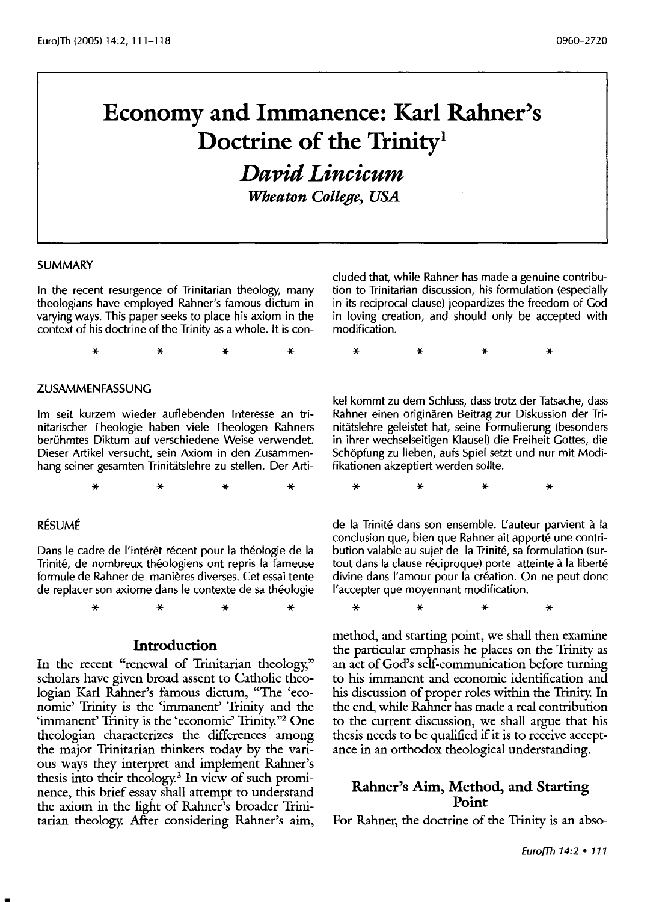# **Economy and Immanence: Karl Rahner's Doctrine of the Trinity<sup>1</sup>**

*David Lincicum* 

*Wheaton College, USA* 

#### SUMMARY

In the recent resurgence of Trinitarian theology, many theologians have employed Rahner's famous dictum in varying ways. This paper seeks to place his axiom in the context of his doctrine of the Trinity as a whole. lt is con-

\* \* \* \*

#### ZUSAMMENFASSUNG

lm seit kurzem wieder auflebenden Interesse an trinitarischer Theologie haben viele Theologen Rahners berühmtes Diktum auf verschiedene Weise verwendet. Dieser Artikel versucht, sein Axiom in den Zusammenhang seiner gesamten Trinitatslehre zu stellen. Der Arti-

\* \* \* \*

#### **RÉSUMÉ**

Dans le cadre de l'intérêt récent pour la théologie de la Trinite, de nombreux theologiens ont repris la fameuse formule de Rahner de manieres diverses. Cet essai tente de replacer son axiome dans le contexte de sa theologie

\* \* \* \*

#### **Introduction**

In the recent "renewal of Trinitarian theology," scholars have given broad assent to Catholic theologian Karl Rahner's famous dictum, "The 'economic' Trinity is the 'immanent' Trinity and the 'immanent' Trinity is the 'economic' Trinity."2 One theologian characterizes the differences among the major Trinitarian thinkers today by the various ways they interpret and implement Rahner's thesis into their theology.<sup>3</sup> In view of such prominence, this brief essay shall attempt to understand the axiom in the light of Rahner's broader Trinitarian theology. After considering Rahner's aim, eluded that, while Rahner has made a genuine contribution to Trinitarian discussion, his formulation (especially in its reciprocal clause) jeopardizes the freedom of God in loving creation, and should only be accepted with modification.

\* \* \* \*

kel kommt zu dem Schluss, dass trotz der Tatsache, dass Rahner einen originaren Beitrag zur Diskussion der Trinitatslehre geleistet hat, seine Formulierung (besonders in ihrer wechselseitigen Klausel) die Freiheit Gottes, die Schöpfung zu lieben, aufs Spiel setzt und nur mit Modifikationen akzeptiert werden sollte.

\* \* \* \*

de la Trinité dans son ensemble. L'auteur parvient à la conclusion que, bien que Rahner ait apporte une contribution valable au sujet de la Trinite, sa formulation (surtout dans la clause réciproque) porte atteinte à la liberté divine dans l'amour pour la création. On ne peut donc l'accepter que moyennant modification.

\* \* \* \*

method, and starting point, we shall then examine the particular emphasis he places on the Trinity as an act of God's self-communication before turning to his immanent and economic identification and his discussion of proper roles within the Trinity. In the end, while Rahner has made a real contribution to the current discussion, we shall argue that his thesis needs to be qualified if it is to receive acceptance in an orthodox theological understanding.

#### **Rahner's Aim, Method, and Starting Point**

For Rahner, the doctrine of the Trinity is an abso-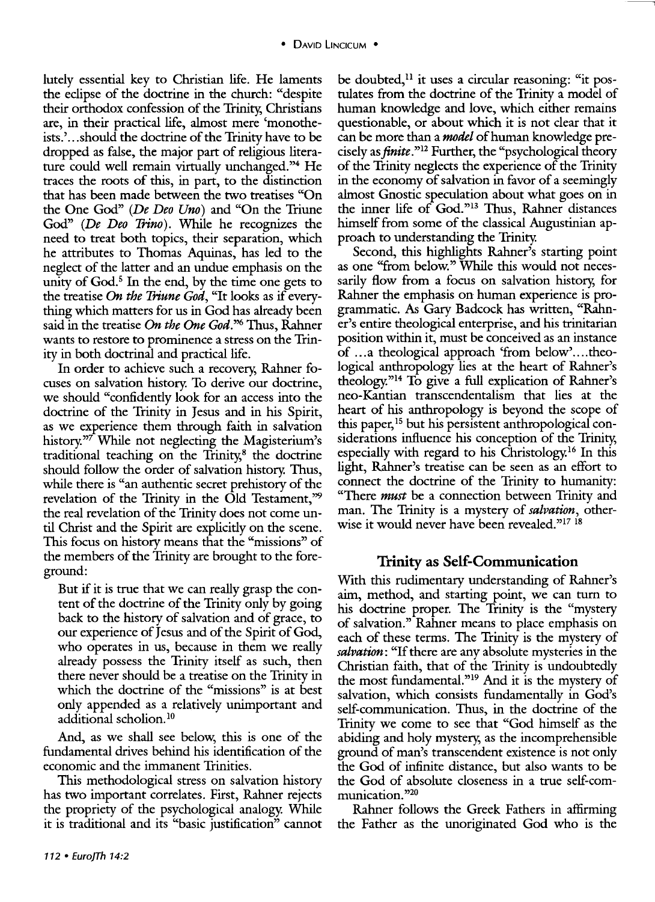lutely essential key to Christian life. He laments the eclipse of the doctrine in the church: "despite their orthodox confession of the Trinity, Christians are, in their practical life, almost mere 'monotheists.' ... should the doctrine of the Trinity have to be dropped as false, the major part of religious literature could well remain virtually unchanged."<sup>4</sup> He traces the roots of this, in part, to the distinction that has been made between the two treatises "On the One God" *(De Deo Uno)* and "On the Triune God" *(De Deo Trino).* While he recognizes the need to treat both topics, their separation, which he attributes to Thomas Aquinas, has led to the neglect of the latter and an undue emphasis on the unity of  $God<sup>5</sup>$  In the end, by the time one gets to the treatise *On the Triune God,* "It looks as if everything which matters for us in God has already been said in the treatise *On the One God.''6* Thus, Rahner wants to restore to prominence a stress on the Trinity in both doctrinal and practical life.

In order to achieve such a recovery; Rahner focuses on salvation history. To derive our doctrine, we should "confidently look for an access into the doctrine of the Trinity in Jesus and in his Spirit, as we experience them through faith in salvation history.<sup>"7</sup> While not neglecting the Magisterium's traditional teaching on the  $T$ rinity, $8$  the doctrine should follow the order of salvation history. Thus, while there is "an authentic secret prehistory of the revelation of the Trinity in the Old Testament," the real revelation of the Trinity does not come until Christ and the Spirit are explicitly on the scene. This focus on history means that the "missions" of the members of the Trinity are brought to the foreground:

But if it is true that we can really grasp the content of the doctrine of the Trinity only by going back to the history of salvation and of grace, to our experience of Jesus and of the Spirit of God, who operates in us, because in them we really already possess the Trinity itself as such, then there never should be a treatise on the Trinity in which the doctrine of the "missions" is at best only appended as a relatively unimportant and additional scholion.<sup>10</sup>

And, as we shall see below, this is one of the fundamental drives behind his identification of the economic and the immanent Trinities.

This methodological stress on salvation history has two important correlates. First, Rahner rejects the propriety of the psychological analogy. While it is traditional and its "basic justification" cannot

be doubted,<sup> $11$ </sup> it uses a circular reasoning: "it postulates from the doctrine of the Trinity a model of human knowledge and love, which either remains questionable, or about which it is not clear that it can be more than a *model* of human knowledge precisely *asftnite."12* Further, the "psychological theory of the Trinity neglects the experience of the Trinity in the economy of salvation in favor of a seemingly almost Gnostic speculation about what goes on in the inner life of God."13 Thus, Rahner distances himself from some of the classical Augustinian approach to understanding the Trinity.

--------,

Second, this highlights Rahner's starting point as one "from below.'' While this would not necessarily flow from a focus on salvation history; for Rahner the emphasis on human experience is programmatic. As Gary Badcock has written, "Rahner's entire theological enterprise, and his trinitarian position within it, must be conceived as an instance of ... a theological approach 'from below'....theological anthropology lies at the heart of Rahner's theology."14 To give a full explication of Rahner's neo-Kantian transcendentalism that lies at the heart of his anthropology is beyond the scope of this paper, 15 but his persistent anthropological considerations influence his conception of the Trinity, especially with regard to his Christology.<sup>16</sup> In this light, Rahner's treatise can be seen as an effort to connect the doctrine of the Trinity to humanity: "There *must* be a connection between Trinity and man. The Trinity is a mystery of *salvation,* otherwise it would never have been revealed."<sup>17 18</sup>

### **Trinity as Self-Communication**

With this rudimentary understanding of Rahner's aim, method, and starting point, we can turn to his doctrine proper. The Trinity is the "mystery of salvation.'' Rahner means to place emphasis on each of these terms. The Trinity is the mystery of *salvation:* "If there are any absolute mysteries in the Christian faith, that of the Trinity is undoubtedly the most fundamental."<sup>19</sup> And it is the mystery of salvation, which consists fundamentally in God's self-communication. Thus, in the doctrine of the Trinity we come to see that "God himself as the abiding and holy mystery; as the incomprehensible ground of man's transcendent existence is not only the God of infinite distance, but also wants to be the God of absolute closeness in a true self-communication."20

Rahner follows the Greek Fathers in affirming the Father as the unoriginated God who is the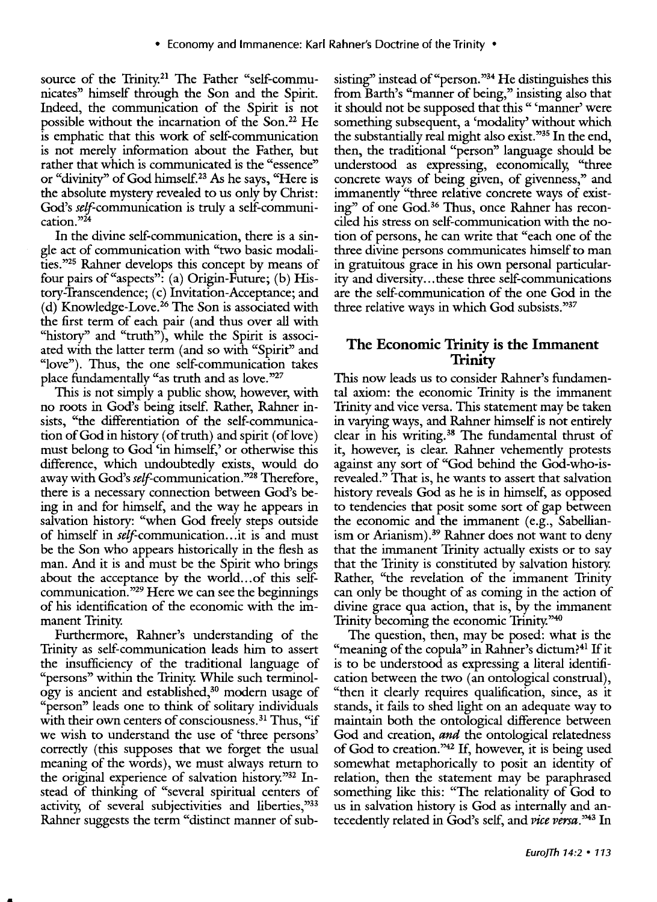source of the Trinity.<sup>21</sup> The Father "self-communicates" himself through the Son and the Spirit. Indeed, the communication of the Spirit is not possible without the incarnation of the Son.<sup>22</sup> He is emphatic that this work of self-communication is not merely information about the Father, but rather that which is communicated is the "essence" or "divinity" of God himself.<sup>23</sup> As he says, "Here is the absolute mystery revealed to us only by Christ: God's self-communication is truly a self-communication.<sup>"24</sup>

In the divine self-communication, there is a single act of communication with "two basic modalities."25 Rahner develops this concept by means of four pairs of"aspects": (a) Origin-Future; (b) History-Transcendence; (c) Invitation-Acceptance; and (d) Knowledge-Love.<sup>26</sup> The Son is associated with the first term of each pair (and thus over all with "history" and "truth"), while the Spirit is associated with the latter term (and so with "Spirit" and "love"). Thus, the one self-communication takes place fundamentally "as truth and as love."27

This is not simply a public show, however, with no roots in God's being itself. Rather, Rahner insists, "the differentiation of the self-communication of God in history (of truth) and spirit (of love) must belong to God 'in himself,' or otherwise this difference, which undoubtedly exists, would do away with God's self-communication."28 Therefore, there is a necessary connection between God's being in and for himself, and the way he appears in salvation history: "when God freely steps outside of himself in *self*-communication... it is and must be the Son who appears historically in the flesh as man. And it is and must be the Spirit who brings about the acceptance by the world... of this selfcommunication."29 Here we can see the beginnings of his identification of the economic with the immanent Trinity.

Furthermore, Rahner's understanding of the Trinity as self-communication leads him to assert the insufficiency of the traditional language of "persons" within the Trinity. While such terminology is ancient and established,<sup>30</sup> modern usage of "person" leads one to think of solitary individuals with their own centers of consciousness.<sup>31</sup> Thus, "if we wish to understand the use of 'three persons' correctly (this supposes that we forget the usual meaning of the words), we must always return to the original experience of salvation history."32 Instead of thinking of "several spiritual centers of activity, of several subjectivities and liberties,<sup>333</sup> Rahner suggests the term "distinct manner of subsisting" instead of "person."34 He distinguishes this from Barth's "manner of being," insisting also that it should not be supposed that this " 'manner' were something subsequent, a 'modality' without which the substantially real might also exist. "35 In the end, then, the traditional "person" language should be understood as expressing, economically, "three concrete ways of being given, of givenness," and immanently "three relative concrete ways of existing'' of one God.36 Thus, once Rahner has reconciled his stress on self-communication with the notion of persons, he can write that "each one of the three divine persons communicates himself to man in gratuitous grace in his own personal particularity and diversity ... these three self-communications are the self-communication of the one God in the three relative ways in which God subsists."37

## **The Economic Trinity** is the **Immanent Trinity**

This now leads us to consider Rahner's fundamental axiom: the economic Trinity is the immanent Trinity and vice versa. This statement may be taken in varying ways, and Rahner himself is not entirely clear in his writing. 38 The fundamental thrust of it, however, is clear. Rahner vehemently protests against any sort of "God behind the God-who-isrevealed." That is, he wants to assert that salvation history reveals God as he is in himself, as opposed to tendencies that posit some sort of gap between the economic and the immanent (e.g., Sabellianism or Arianism).<sup>39</sup> Rahner does not want to deny that the immanent Trinity actually exists or to say that the Trinity is constituted by salvation history. Rather, "the revelation of the immanent Trinity can only be thought of as coming in the action of divine grace qua action, that is, by the immanent Trinity becoming the economic Trinity."40

The question, then, may be posed: what is the "meaning of the copula" in Rahner's dictum?<sup>41</sup> If it is to be understood as expressing a literal identification between the two (an ontological construal), "then it clearly requires qualification, since, as it stands, it fails to shed light on an adequate way to maintain both the ontological difference between God and creation, *and* the ontological relatedness of God to creation."42 If, however, it is being used somewhat metaphorically to posit an identity of relation, then the statement may be paraphrased something like this: "The relationality of God to us in salvation history is God as internally and antecedently related in God's self, and *vice versa.''43* In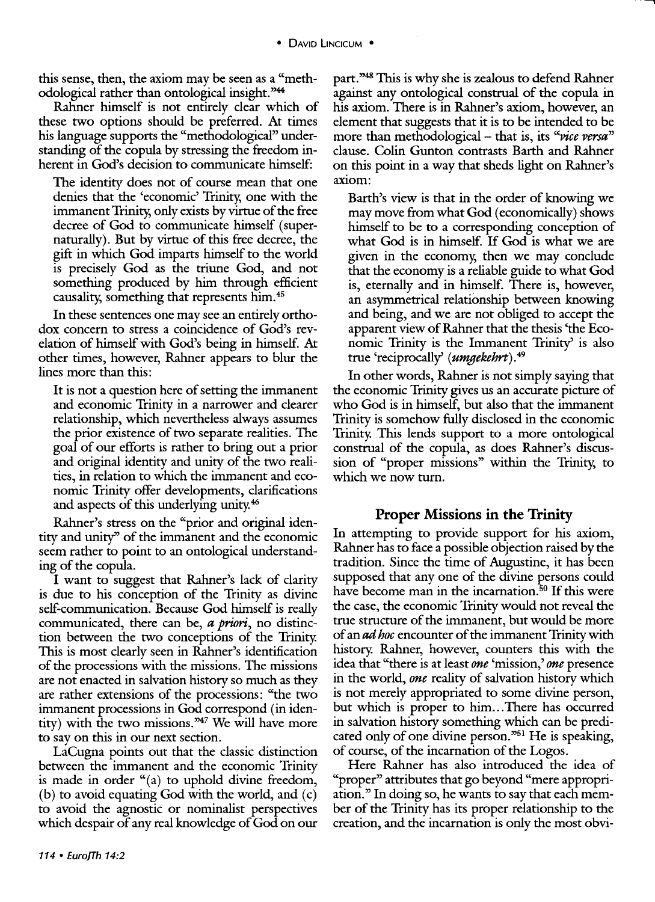this sense, then, the axiom may be seen as a "methodological rather than ontological insight. "44

Rahner himself is not entirely clear which of these two options should be preferred. At times his language supports the "methodological" understanding of the copula by stressing the freedom inherent in God's decision to communicate himself:

The identity does not of course mean that one denies that the 'economic' Trinity, one with the immanent Trinity, only exists by virtue of the free decree of God to communicate himself (supernaturally). But by virtue of this free decree, the gift in which God imparts himself to the world is precisely God as the triune God, and not something produced by him through efficient causality, something that represents him. 45

In these sentences one may see an entirely orthodox concern to stress a coincidence of God's revelation of himself with God's being in himself. At other times, however, Rahner appears to blur the lines more than this:

It is not a question here of setting the immanent and economic Trinity in a narrower and clearer relationship, which nevertheless always assumes the prior existence of two separate realities. The goal of our efforts is rather to bring out a prior and original identity and unity of the two realities, in relation to which the immanent and economic Trinity offer developments, clarifications and aspects of this underlying unity. <sup>46</sup>

Rahner's stress on the "prior and original identity and unity'' of the immanent and the economic seem rather to point to an ontological understanding of the copula.

I want to suggest that Rahner's lack of clarity is due to his conception of the Trinity as divine self-communication. Because God himself is really communicated, there can be, *a priori*, no distinction between the two conceptions of the Trinity. This is most clearly seen in Rahner's identification of the processions with the missions. The missions are not enacted in salvation history so much as they are rather extensions of the processions: "the two immanent processions in God correspond (in identity) with the two missions."47 We will have more to say on this in our next section.

LaCugna points out that the classic distinction between the immanent and the economic Trinity is made in order "(a) to uphold divine freedom, (b) to avoid equating God with the world, and (c) to avoid the agnostic or nominalist perspectives which despair of any real knowledge of God on our

part. "48 This is why she is zealous to defend Rahner against any ontological construal of the copula in his axiom. There is in Rahner's axiom, however, an element that suggests that it is to be intended to be more than methodological – that is, its *"vice versa*" clause. Colin Gunton contrasts Barth and Rahner on this point in a way that sheds light on Rahner's axiom:

Barth's view is that in the order of knowing we may move from what God (economically) shows himself to be to a corresponding conception of what God is in himself. If God is what we are given in the economy, then we may conclude that the economy is a reliable guide to what God is, eternally and in himself. There is, however, an asymmetrical relationship between knowing and being, and we are not obliged to accept the apparent view of Rahner that the thesis 'the Economic Trinity is the Immanent Trinity' is also true 'reciprocally' *(umgekehrt). <sup>49</sup>*

In other words, Rahner is not simply saying that the economic Trinity gives us an accurate picture of who God is in himself, but also that the immanent Trinity is somehow fully disclosed in the economic Trinity. This lends support to a more ontological construal of the copula, as does Rahner's discussion of "proper missions" within the Trinity, to which we now turn.

#### **Proper Missions in the Trinity**

In attempting to provide support for his axiom, Rahner has to face a possible objection raised by the tradition. Since the time of Augustine, it has been supposed that any one of the divine persons could have become man in the incarnation.<sup>50</sup> If this were the case, the economic Trinity would not reveal the true structure of the immanent, but would be more of an *ad hoc* encounter of the immanent Trinity with history. Rahner, however, counters this with the idea that "there is at least *one* 'mission,' *one* presence in the world, *one* reality of salvation history which is not merely appropriated to some divine person, but which is proper to him...There has occurred in salvation history something which can be predicated only of one divine person."51 He is speaking, of course, of the incarnation of the Logos.

Here Rahner has also introduced the idea of "proper" attributes that go beyond "mere appropriation." In doing so, he wants to say that each member of the Trinity has its proper relationship to the creation, and the incarnation is only the most obvi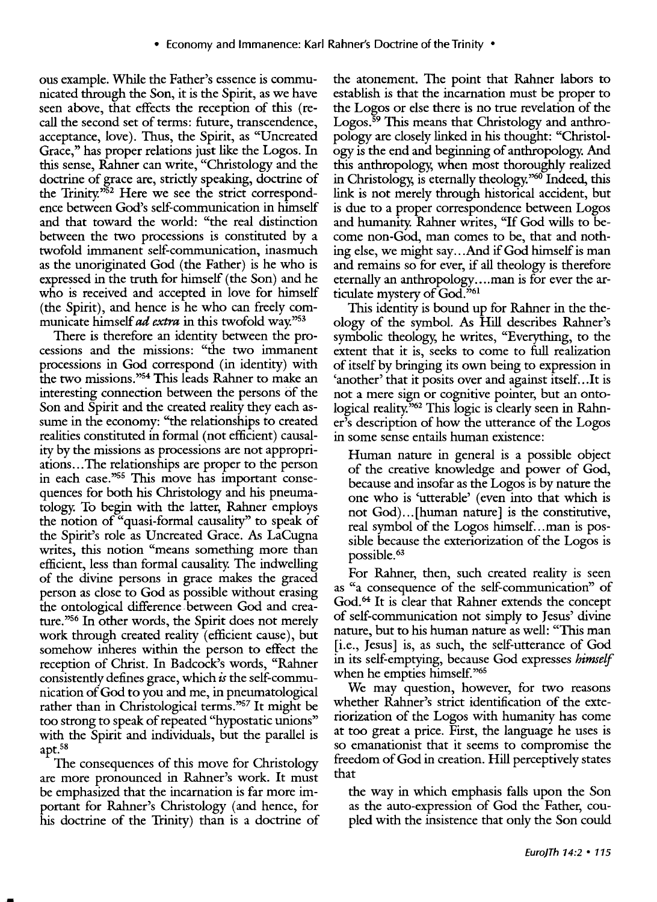ous example. While the Father's essence is communicated through the Son, it is the Spirit, as we have seen above, that effects the reception of this (recall the second set of terms: future, transcendence, acceptance, love). Thus, the Spirit, as "Uncreated Grace," has proper relations just like the Logos. In this sense, Rahner can write, "Christology and the doctrine of grace are, strictly speaking, doctrine of the Trinity."52 Here we see the strict correspondence between God's self-communication in himself and that toward the world: "the real distinction between the two processions is constituted by a twofold immanent self-communication, inasmuch as the unoriginated God (the Father) is he who is expressed in the truth for himself (the Son) and he who is received and accepted in love for himself (the Spirit), and hence is he who can freely communicate himself *ad extra* in this twofold way."53

There is therefore an identity between the processions and the missions: "the two immanent processions in God correspond (in identity) with the two missions."54 This leads Rahner to make an interesting connection between the persons of the Son and Spirit and the created reality they each assume in the economy: "the relationships to created realities constituted in formal (not efficient) causality by the missions as processions are not appropriations ... The relationships are proper to the person in each case."55 This move has important consequences for both his Christology and his pneumatology. To begin with the latter, Rahner employs the notion of "quasi-formal causality'' to speak of the Spirit's role as Uncreated Grace. As LaCugna writes, this notion "means something more than efficient, less than formal causality. The indwelling of the divine persons in grace makes the graced person as close to God as possible without erasing the ontological difference between God and creature."56 In other words, the Spirit does not merely work through created reality (efficient cause), but somehow inheres within the person to effect the reception of Christ. In Badcock's words, "Rahner consistently defines grace, which *is* the self-communication of God to you and me, in pneumatological rather than in Christological terms."<sup>57</sup> It might be too strong to speak of repeated "hypostatic unions" with the Spirit and individuals, but the parallel is apt.<sup>58</sup>

The consequences of this move for Christology are more pronounced in Rahner's work. It must be emphasized that the incarnation is far more important for Rahner's Christology (and hence, for his doctrine of the Trinity) than is a doctrine of the atonement. The point that Rahner labors to establish is that the incarnation must be proper to the Logos or else there is no true revelation of the Logos.<sup>59</sup> This means that Christology and anthropology are closely linked in his thought: "Christology is the end and beginning of anthropology. And this anthropology, when most thoroughly realized in Christology, is eternally theology."60 Indeed, this link is not merely through historical accident, but is due to a proper correspondence between Logos and humanity. Rahner writes, ''If God wills to become non-God, man comes to be, that and nothing else, we might say ... And if God himself is man and remains so for ever, if all theology is therefore eternally an anthropology .... man is for ever the articulate mystery of God.<sup>361</sup>

This identity is bound up for Rahner in the theology of the symbol. As Hill describes Rahner's symbolic theology, he writes, "Everything, to the extent that it is, seeks to come to full realization of itself by bringing its own being to expression in 'another' that it posits over and against itself...It is not a mere sign or cognitive pointer, but an ontological reality.<sup>362</sup> This logic is clearly seen in Rahner's description of how the utterance of the Logos in some sense entails human existence:

Human nature in general is a possible object of the creative knowledge and power of God, because and insofar as the Logos is by nature the one who is 'utterable' (even into that which is not God) ... [human nature] is the constitutive, real symbol of the Logos himself...man is possible because the exteriorization of the Logos is possible. 63

For Rahner, then, such created reality is seen as "a consequence of the self-communication" of God.<sup>64</sup> It is clear that Rahner extends the concept of self-communication not simply to Jesus' divine nature, but to his human nature as well: "This man [i.e., Jesus] is, as such, the self-utterance of God in its self-emptying, because God expresses *himself*  when he empties himself."65

We may question, however, for two reasons whether Rahner's strict identification of the exteriorization of the Logos with humanity has come at too great a price. First, the language he uses is so emanationist that it seems to compromise the freedom of God in creation. Hill perceptively states that

the way in which emphasis falls upon the Son as the auto-expression of God the Father, coupled with the insistence that only the Son could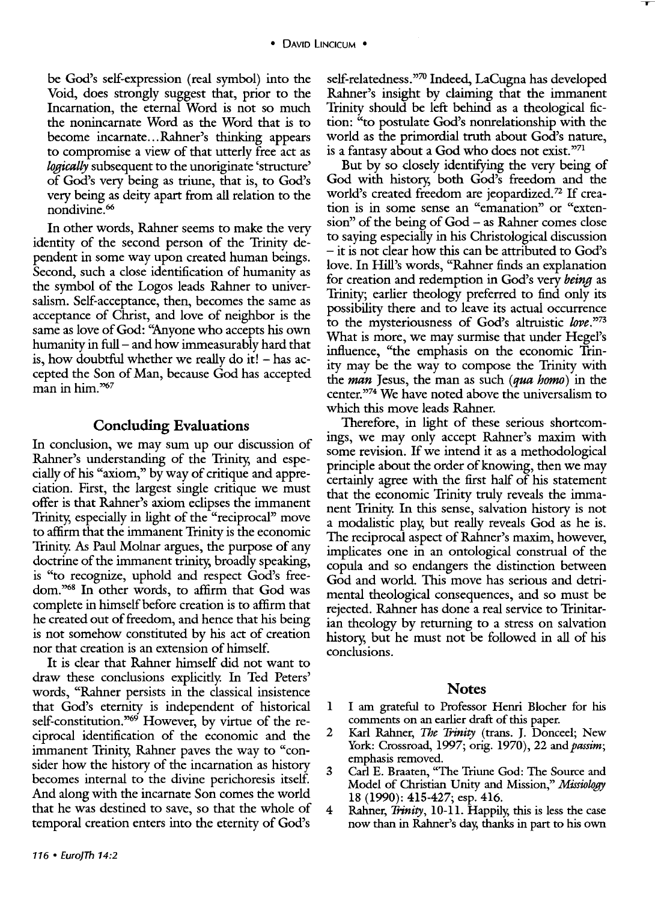be God's self-expression (real symbol) into the Void, does strongly suggest that, prior to the Incarnation, the eternal Word is not so much the nonincarnate Word as the Word that is to become incarnate ... Rahner's thinking appears to compromise a view of that utterly free act as *logically* subsequent to the unoriginate 'structure' of God's very being as triune, that is, to God's very being as deity apart from all relation to the nondivine. 66

In other words, Rahner seems to make the very identity of the second person of the Trinity dependent in some way upon created human beings. Second, such a close identification of humanity as the symbol of the Logos leads Rahner to universalism. Self-acceptance, then, becomes the same as acceptance of Christ, and love of neighbor is the same as love of God: "Anyone who accepts his own humanity in full- and how immeasurably hard that is, how doubtful whether we really do it!  $-$  has accepted the Son of Man, because God has accepted man in him. $\frac{367}{7}$ 

#### **Concluding Evaluations**

In conclusion, we may sum up our discussion of Rahner's understanding of the Trinity, and especially of his "axiom," by way of critique and appreciation. First, the largest single critique we must offer is that Rahner's axiom eclipses the immanent Trinity, especially in light of the "reciprocal" move to affirm that the immanent Trinity is the economic Trinity. As Paul Molnar argues, the purpose of any doctrine of the immanent trinity, broadly speaking, is "to recognize, uphold and respect God's freedom."68 In other words, to affirm that God was complete in himself before creation is to affirm that he created out of freedom, and hence that his being is not somehow constituted by his act of creation nor that creation is an extension of himself.

It is clear that Rahner himself did not want to draw these conclusions explicitly. In Ted Peters' words, "Rahner persists in the classical insistence that God's eternity is independent of historical self-constitution."<sup>69</sup> However, by virtue of the reciprocal identification of the economic and the immanent Trinity, Rahner paves the way to "consider how the history of the incarnation as history becomes internal to the divine perichoresis itself. And along with the incarnate Son comes the world that he was destined to save, so that the whole of temporal creation enters into the eternity of God's

self-relatedness."70 Indeed, LaCugna has developed Rahner's insight by claiming that the immanent Trinity should be left behind as a theological fiction: "to postulate God's nonrelationship with the world as the primordial truth about God's nature, is a fantasy about a God who does not exist."71

 $\mathbf r$ 

But by so closely identifying the very being of God with history, both God's freedom and the world's created freedom are jeopardized.72 If creation is in some sense an "emanation" or "extension" of the being of God - as Rahner comes close to saying especially in his Christological discussion - it is not clear how this can be attributed to God's love. In Hill's words, "Rahner finds an explanation for creation and redemption in God's very *being* as Trinity; earlier theology preferred to find only its possibility there and to leave its actual occurrence to the mysteriousness of God's altruistic love."73 What is more, we may surmise that under Hegel's influence, "the emphasis on the economic Trinity may be the way to compose the Trinity with the man Jesus, the man as such (qua homo) in the center.<sup>374</sup> We have noted above the universalism to which this move leads Rahner.

Therefore, in light of these serious shortcomings, we may only accept Rahner's maxim with some revision. If we intend it as a methodological principle about the order of knowing, then we may certainly agree with the first half of his statement that the economic Trinity truly reveals the immanent Trinity. In this sense, salvation history is not a modalistic play, but really reveals God as he is. The reciprocal aspect of Rahner's maxim, however, implicates one in an ontological construal of the copula and so endangers the distinction between God and world. This move has serious and detrimental theological consequences, and so must be rejected. Rahner has done a real service to Trinitarian theology by returning to a stress on salvation history, but he must not be followed in all of his conclusions.

#### **Notes**

- 1 I am grateful to Professor Henri Blocher for his comments on an earlier draft of this paper.
- 2 Karl Rahner, *The Trinity* (trans. J. Donceel; New York: Crossroad, 1997; orig. 1970), 22 and *passim;*  emphasis removed.
- 3 Carl E. Braaten, "The Triune God: The Source and Model of Christian Unity and Mission," *Missiology*  18 (1990): 415-427; esp. 416.
- 4 Rahner, *Trinity,* 10-11. Happily, this is less the case now than in Rahner's day, thanks in part to his own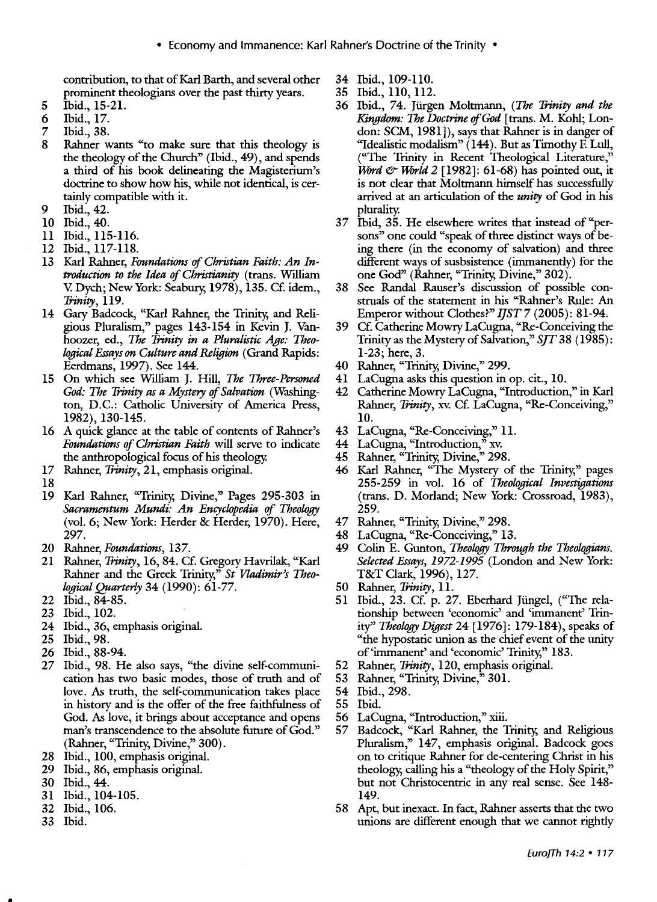contribution, to that of Karl Barth, and several other 34 Ibid., 109-110.<br>prominent theologians over the past thirty years. 35 Ibid., 110, 112. prominent theologians over the past thirty years.

- 
- 
- 
- the theology of the Church" (Ibid., 49), and spends a third of his book delineating the Magisterium's
- 9 Ibid., 42.
- 
- 
- 
- 13 Karl Rahner, *Foundations* of *Christian Faith: An In-* different ways of susbsistence (immanently) for the *Production to the Idea of Christianity* (trans. William one God" (Rahner, "Trinity, Divine," 302).<br>V. Dych; New York: Seabury, 1978), 135. Cf. idem., 38 See Randal Rauser's discussion of possi
- 14 Gary Badcock, "Karl Rahner, the Trinity, and Reli- Emperor without Clothes?" *I]ST* 7 (2005): 81-94. *logical Essays on Culture and Religion* (Grand Rapids: 1-23; here, 3.
- 15 On which see William J. Hill, *The Three-Personed* 41 LaCugna asks this question in op. cit., 10.
- 1982), 130-145.<br>A quick glance at the table of contents of Rahner's 43 LaCugna, "Re-Conceiving," 11. 16 A quick glance at the table of contents of Rahner's 43 LaCugna, "Re-Conceiving Foundations of Christian Faith will serve to indicate 44 LaCugna, "Introduction," *Foundations of Christian Faith* will serve to indicate 44 LaCugna, "Introduction," xv. the anthropological focus of his theology. 45 Rahner, "Trinity, Divine," 298.<br>Rahner, Trinity, 21, emphasis original. 46 Karl Rahner, "The Mystery o
- 
- 
- 19 Karl Rahner, "Trinity, Divine," Pages 295-303 in (trans. D. Morland; New York: Crossroad, 1983), *Sacramentum Mundi: An Encyclopedia* of *Theology* 259. (vol. 6; New York: Herder & Herder, 1970). Here, 297. 48 LaCugna, "Re-Conceiving," 13.
- 
- 21 Rahner, *Trinity,* 16, 84. Cf. Gregory Havrilak, "Karl *Selected Essays, 1972-1995* (London and New York: Rahner and the Greek Trinity," *St Vladimir's Theo-* T&T Clark, 1996), 127. *logical Quarterly* 34 (1990): 61-77. 50 Rahner, *Trinity,* 11.
- 
- 
- 
- 
- 
- 26 Ibid., 88-94.<br>27 Ibid., 98. He also says, "the divine self-communi- 52 Rahner, Trinity, 120, emphasis original. 27 Ibid., 98. He also says, "the divine self-communi- 52 Rahner, *Trinity*, 120, emphasis cation has two basic modes, those of truth and of 53 Rahner, "Trinity, Divine," 301. cation has two basic modes, those of truth and of 53 love. As truth, the self-communication takes place 54 Ibid., 298. in history and is the offer of the free faithfulness of 55 Ibid.<br>God. As love, it brings about acceptance and opens 56 LaCugna, "Introduction," xiii. God. As love, it brings about acceptance and opens
- 
- 
- 
- 31 Ibid., 104-105. 149. 149. 149. 149. 158 Apt.
- 
- 
- 
- 
- 5 Ibid., 15-21. 36 Ibid., 74. Ji.irgen Moltrnann, *(The Trinity and the*  6 Ibid., 17. *Kingdom: The Doctrine* of *God* [trans. M. Kohl; Lon-7 Ibid., 38.<br>8 Rahner wants "to make sure that this theology is "Idealistic modalism" (144). But as Timothy F. Lull, Rahner wants "to make sure that this theology is "Idealistic modalism" (144). But as Timothy F. Lull the theology of the Church" (Ibid., 49), and spends "The Trinity in Recent Theological Literature," *Word & World 2* [1982]: 61-68) has pointed out, it doctrine to show how his, while not identical, is cer- is not clear that Moltmann himself has successfully tainly compatible with it.<br>
Ibid., 42.<br>
plurality.<br>
plurality.
- 10 Ibid., 40. 37 **Ibid, 35.** He elsewhere writes that instead of "per-11 Ibid., 115-116. sons" one could "speak of three distinct ways of be-12 Ibid., 117-118. ing there (in the economy of salvation) and three
	- 38 See Randal Rauser's discussion of possible con-*Trinity*, 119. **Struals of the statement in his "Rahner's Rule: An**
	- gious Pluralism," pages 143-154 in Kevin J. Van- 39 Cf. Catherine Mowry LaCugna, "Re-Conceiving the hoozer, ed., *The Trinity in a Pluralistic Age: Theo-* Trinity as the Mystery of Salvation," *S]T* 38 (1985):
		- 40 Rahner, "Trinity, Divine," 299.
		-
	- *God: The Trinity as a Mystery of Salvation* (Washing- 42 Catherine Mowry LaCugna, "Introduction," in Karl ton, D.C.: Catholic University of America Press, Rahner, Trinity, xv. Cf. LaCugna, "Re-Conceiving," Rahner, *Trinity*, xv. Cf. LaCugna, "Re-Conceiving,"
		-
		-
		-
- 17 Rahner, *Trinity,* 21, emphasis original. 46 Karl Rahner, "The Mystery of the Trinity," pages 18 255-259 in vol. 16 of *Theological Investigations* 
	-
	-
- 20 Rahner, *Foundations,* 137. 49 Colin E. Gunton, *Theology Through the Theologians.* 
	-
- 22 Ibid., 84-85. 51 Ibid., 23. Cf. p. 27. Eberhard Jiingel, ("The relationship between 'economic' and 'immanent' Trin-24 Ibid., 36, emphasis original. ity" *Theology Digest* 24 [1976]: 179-184), speaks of 25 Ibid., 98. "The hypostatic union as the chief event of the unity
	-
	-
	-
	-
	-
- man's transcendence to the absolute future of God." 57 Badcock, "Karl Rahner, the Trinity, and Religious (Rahner, "Trinity, Divine," 300). Pluralism," 147, emphasis original. Badcock goes (Rahner, "Trinity, Divine," 300). Pluralism," 147, emphasis original. Badcock goes<br>28 Ibid., 100, emphasis original. entity on to critique Rahner for de-centering Christ in his on to critique Rahner for de-centering Christ in his 29 Ibid., 86, emphasis original. theology, calling his a "theology of the Holy Spirit," 30 Ibid., 44. but not Christocentric in any real sense. See 148-
- 58 Apt, but inexact. In fact, Rahner asserts that the two 33 Ibid. unions are different enough that we cannot rightly